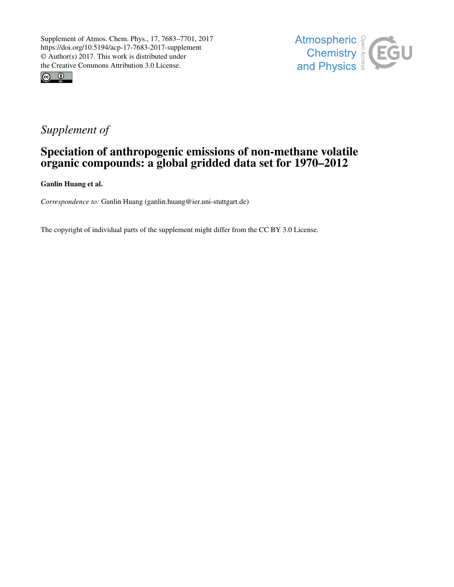



# *Supplement of*

# Speciation of anthropogenic emissions of non-methane volatile organic compounds: a global gridded data set for 1970–2012

Ganlin Huang et al.

*Correspondence to:* Ganlin Huang (ganlin.huang@ier.uni-stuttgart.de)

The copyright of individual parts of the supplement might differ from the CC BY 3.0 License.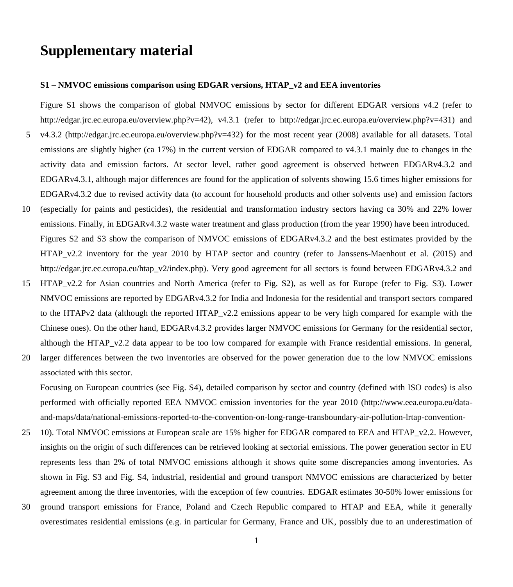# **Supplementary material**

#### **S1 – NMVOC emissions comparison using EDGAR versions, HTAP\_v2 and EEA inventories**

Figure S1 shows the comparison of global NMVOC emissions by sector for different EDGAR versions v4.2 (refer to http://edgar.jrc.ec.europa.eu/overview.php?v=42), v4.3.1 (refer to http://edgar.jrc.ec.europa.eu/overview.php?v=431) and

- 5 v4.3.2 (http://edgar.jrc.ec.europa.eu/overview.php?v=432) for the most recent year (2008) available for all datasets. Total emissions are slightly higher (ca 17%) in the current version of EDGAR compared to v4.3.1 mainly due to changes in the activity data and emission factors. At sector level, rather good agreement is observed between EDGARv4.3.2 and EDGARv4.3.1, although major differences are found for the application of solvents showing 15.6 times higher emissions for EDGARv4.3.2 due to revised activity data (to account for household products and other solvents use) and emission factors
- 10 (especially for paints and pesticides), the residential and transformation industry sectors having ca 30% and 22% lower emissions. Finally, in EDGARv4.3.2 waste water treatment and glass production (from the year 1990) have been introduced. Figures S2 and S3 show the comparison of NMVOC emissions of EDGARv4.3.2 and the best estimates provided by the HTAP\_v2.2 inventory for the year 2010 by HTAP sector and country (refer to Janssens-Maenhout et al. (2015) and http://edgar.jrc.ec.europa.eu/htap\_v2/index.php). Very good agreement for all sectors is found between EDGARv4.3.2 and
- 15 HTAP\_v2.2 for Asian countries and North America (refer to Fig. S2), as well as for Europe (refer to Fig. S3). Lower NMVOC emissions are reported by EDGARv4.3.2 for India and Indonesia for the residential and transport sectors compared to the HTAPv2 data (although the reported HTAP\_v2.2 emissions appear to be very high compared for example with the Chinese ones). On the other hand, EDGARv4.3.2 provides larger NMVOC emissions for Germany for the residential sector, although the HTAP\_v2.2 data appear to be too low compared for example with France residential emissions. In general,
- 20 larger differences between the two inventories are observed for the power generation due to the low NMVOC emissions associated with this sector.

Focusing on European countries (see Fig. S4), detailed comparison by sector and country (defined with ISO codes) is also performed with officially reported EEA NMVOC emission inventories for the year 2010 (http://www.eea.europa.eu/dataand-maps/data/national-emissions-reported-to-the-convention-on-long-range-transboundary-air-pollution-lrtap-convention-

- 25 10). Total NMVOC emissions at European scale are 15% higher for EDGAR compared to EEA and HTAP\_v2.2. However, insights on the origin of such differences can be retrieved looking at sectorial emissions. The power generation sector in EU represents less than 2% of total NMVOC emissions although it shows quite some discrepancies among inventories. As shown in Fig. S3 and Fig. S4, industrial, residential and ground transport NMVOC emissions are characterized by better agreement among the three inventories, with the exception of few countries. EDGAR estimates 30-50% lower emissions for
- 30 ground transport emissions for France, Poland and Czech Republic compared to HTAP and EEA, while it generally overestimates residential emissions (e.g. in particular for Germany, France and UK, possibly due to an underestimation of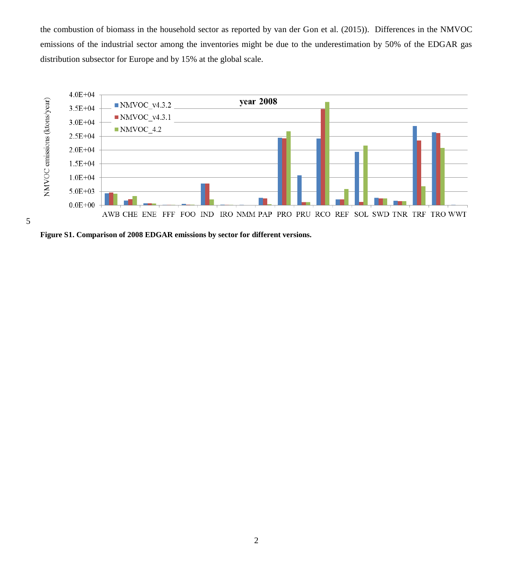the combustion of biomass in the household sector as reported by van der Gon et al. (2015)). Differences in the NMVOC emissions of the industrial sector among the inventories might be due to the underestimation by 50% of the EDGAR gas distribution subsector for Europe and by 15% at the global scale.



**Figure S1. Comparison of 2008 EDGAR emissions by sector for different versions.**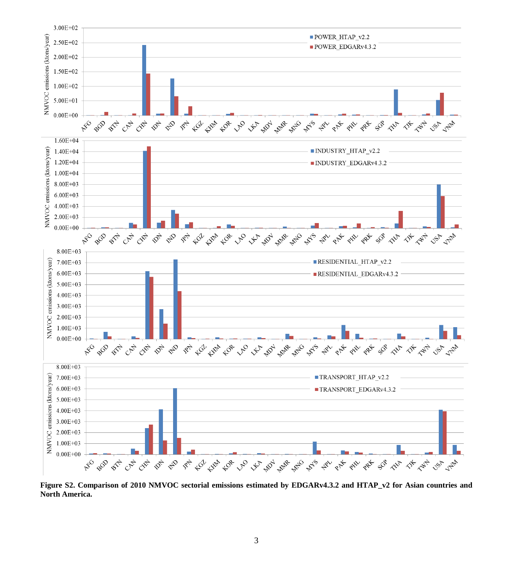

**Figure S2. Comparison of 2010 NMVOC sectorial emissions estimated by EDGARv4.3.2 and HTAP\_v2 for Asian countries and North America.**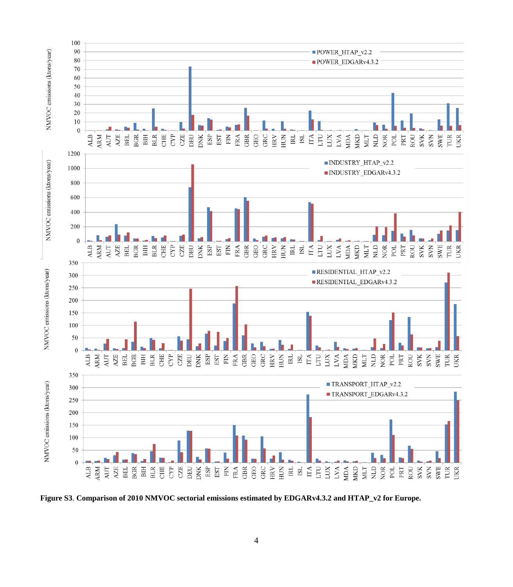

**Figure S3**. **Comparison of 2010 NMVOC sectorial emissions estimated by EDGARv4.3.2 and HTAP\_v2 for Europe.**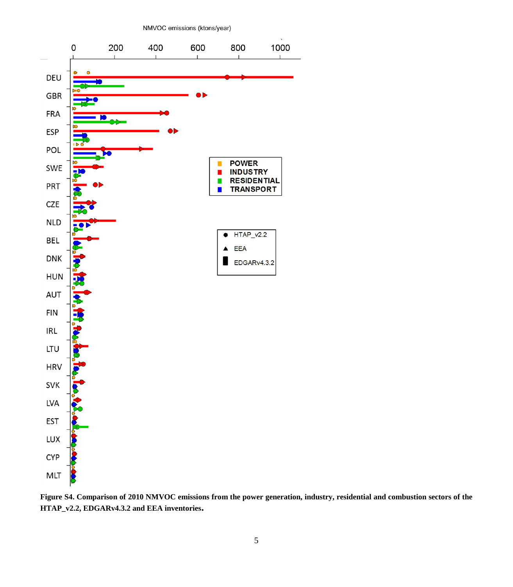

**Figure S4. Comparison of 2010 NMVOC emissions from the power generation, industry, residential and combustion sectors of the HTAP\_v2.2, EDGARv4.3.2 and EEA inventories.**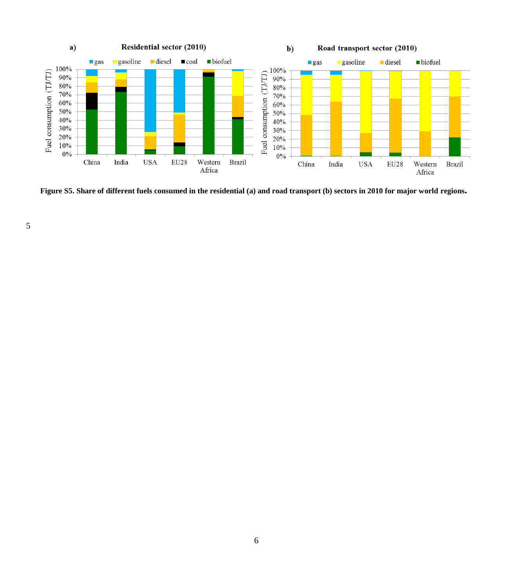

**Figure S5. Share of different fuels consumed in the residential (a) and road transport (b) sectors in 2010 for major world regions.**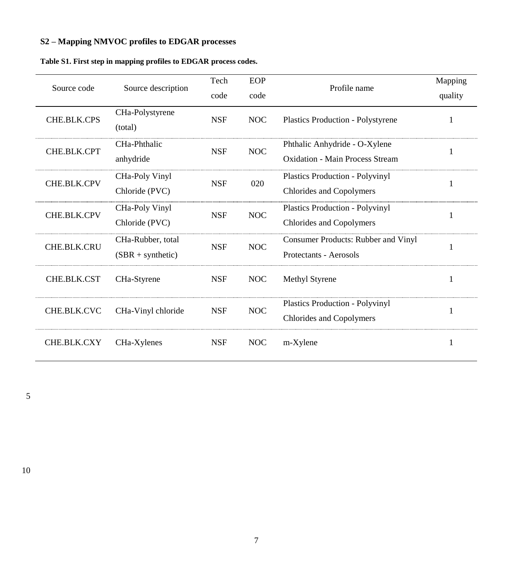## **S2 – Mapping NMVOC profiles to EDGAR processes**

| Source code        | Source description                       | Tech<br>code                                                                                        | EOP<br>code                                     | Profile name                                                       | Mapping<br>quality |
|--------------------|------------------------------------------|-----------------------------------------------------------------------------------------------------|-------------------------------------------------|--------------------------------------------------------------------|--------------------|
| CHE.BLK.CPS        | CHa-Polystyrene<br>(total)               | <b>NSF</b>                                                                                          | NOC<br><b>Plastics Production - Polystyrene</b> |                                                                    | 1                  |
| CHE.BLK.CPT        | CHa-Phthalic<br>anhydride                | Phthalic Anhydride - O-Xylene<br><b>NSF</b><br><b>NOC</b><br><b>Oxidation - Main Process Stream</b> |                                                 |                                                                    |                    |
| <b>CHE.BLK.CPV</b> | CHa-Poly Vinyl<br>Chloride (PVC)         | <b>NSF</b>                                                                                          | 020                                             | <b>Plastics Production - Polyvinyl</b><br>Chlorides and Copolymers | 1                  |
| <b>CHE.BLK.CPV</b> | CHa-Poly Vinyl<br>Chloride (PVC)         | <b>NSF</b>                                                                                          | <b>NOC</b>                                      | <b>Plastics Production - Polyvinyl</b><br>Chlorides and Copolymers | 1                  |
| CHE.BLK.CRU        | CHa-Rubber, total<br>$(SBR + synthetic)$ | <b>NSF</b>                                                                                          | <b>NOC</b>                                      | Consumer Products: Rubber and Vinyl<br>Protectants - Aerosols      | 1                  |
| CHE.BLK.CST        | CHa-Styrene                              | <b>NSF</b>                                                                                          | <b>NOC</b>                                      | Methyl Styrene                                                     | 1                  |
| CHE.BLK.CVC        | CHa-Vinyl chloride                       | <b>NSF</b>                                                                                          | <b>NOC</b>                                      | <b>Plastics Production - Polyvinyl</b><br>Chlorides and Copolymers |                    |
| CHE.BLK.CXY        | CHa-Xylenes                              | <b>NSF</b>                                                                                          | <b>NOC</b>                                      | m-Xylene                                                           | 1                  |

5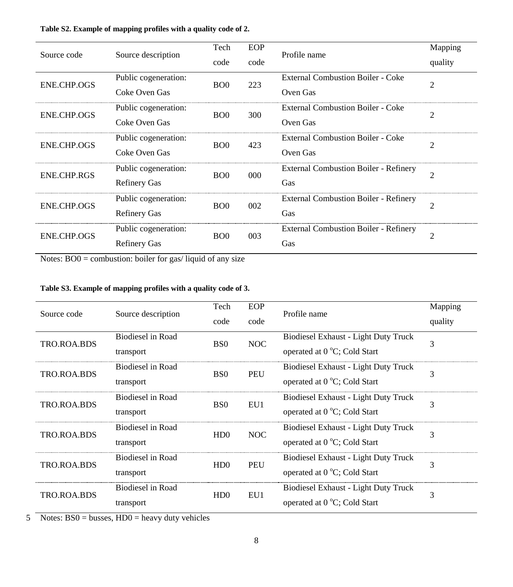| Source code        | Source description   | EOP<br>Tech      |      | Profile name                                 | Mapping        |  |
|--------------------|----------------------|------------------|------|----------------------------------------------|----------------|--|
|                    |                      | code             | code |                                              | quality        |  |
| ENE.CHP.OGS        | Public cogeneration: | B <sub>O</sub> O | 223  | <b>External Combustion Boiler - Coke</b>     | 2              |  |
|                    | Coke Oven Gas        |                  |      | Oven Gas                                     |                |  |
| <b>ENE.CHP.OGS</b> | Public cogeneration: | B <sub>O</sub> O | 300  | <b>External Combustion Boiler - Coke</b>     | $\overline{c}$ |  |
|                    | Coke Oven Gas        |                  |      | Oven Gas                                     |                |  |
| ENE.CHP.OGS        | Public cogeneration: | B <sub>O</sub> O | 423  | <b>External Combustion Boiler - Coke</b>     | 2              |  |
|                    | Coke Oven Gas        |                  |      | Oven Gas                                     |                |  |
| ENE.CHP.RGS        | Public cogeneration: | B <sub>O</sub> O | 000  | <b>External Combustion Boiler - Refinery</b> | $\overline{c}$ |  |
|                    | <b>Refinery Gas</b>  |                  |      | Gas                                          |                |  |
| ENE.CHP.OGS        | Public cogeneration: | B <sub>O</sub> O | 002  | <b>External Combustion Boiler - Refinery</b> | $\overline{c}$ |  |
|                    | <b>Refinery Gas</b>  |                  |      | Gas                                          |                |  |
| <b>ENE.CHP.OGS</b> | Public cogeneration: | B <sub>O</sub> O | 003  | <b>External Combustion Boiler - Refinery</b> | $\overline{c}$ |  |
|                    | <b>Refinery Gas</b>  |                  |      | Gas                                          |                |  |

### **Table S2. Example of mapping profiles with a quality code of 2.**

Notes: BO0 = combustion: boiler for gas/ liquid of any size

### **Table S3. Example of mapping profiles with a quality code of 3.**

| Source code | Source description             | EOP<br>Tech<br>Profile name<br>code<br>code |            |                                                                             | Mapping<br>quality |
|-------------|--------------------------------|---------------------------------------------|------------|-----------------------------------------------------------------------------|--------------------|
| TRO.ROA.BDS | Biodiesel in Road<br>transport | B <sub>S0</sub>                             | <b>NOC</b> | <b>Biodiesel Exhaust - Light Duty Truck</b><br>operated at 0 °C; Cold Start | 3                  |
| TRO.ROA.BDS | Biodiesel in Road<br>transport | B <sub>S0</sub>                             | <b>PEU</b> | Biodiesel Exhaust - Light Duty Truck<br>operated at 0 °C; Cold Start        | 3                  |
| TRO.ROA.BDS | Biodiesel in Road<br>transport | B <sub>S0</sub>                             | EU1        | Biodiesel Exhaust - Light Duty Truck<br>operated at 0 °C; Cold Start        | 3                  |
| TRO.ROA.BDS | Biodiesel in Road<br>transport | HD0                                         | NOC        | Biodiesel Exhaust - Light Duty Truck<br>operated at 0 °C; Cold Start        | 3                  |
| TRO.ROA.BDS | Biodiesel in Road<br>transport | HD0                                         | <b>PEU</b> | Biodiesel Exhaust - Light Duty Truck<br>operated at 0 °C; Cold Start        | 3                  |
| TRO.ROA.BDS | Biodiesel in Road<br>transport | HD0                                         | EU1        | <b>Biodiesel Exhaust - Light Duty Truck</b><br>operated at 0 °C; Cold Start | 3                  |

 $5$  Notes: BS0 = busses, HD0 = heavy duty vehicles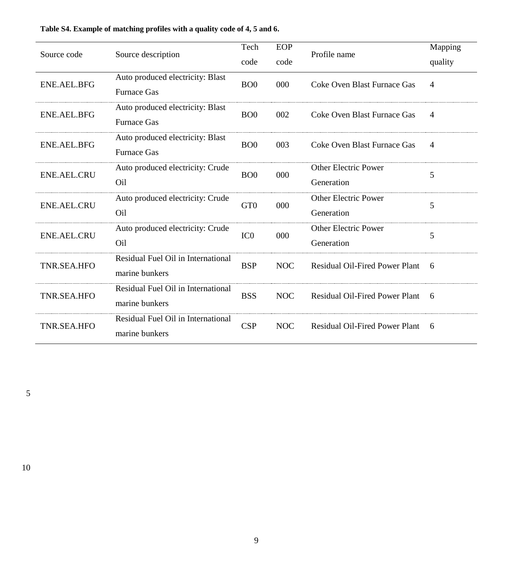| Source code        |                                    | Tech             | EOP        | Profile name                          | Mapping |  |
|--------------------|------------------------------------|------------------|------------|---------------------------------------|---------|--|
|                    | Source description                 | code             | code       |                                       | quality |  |
| ENE.AEL.BFG        | Auto produced electricity: Blast   | B <sub>O</sub> O | 000        | Coke Oven Blast Furnace Gas           | 4       |  |
|                    | <b>Furnace Gas</b>                 |                  |            |                                       |         |  |
| ENE.AEL.BFG        | Auto produced electricity: Blast   | B <sub>O</sub> O | 002        | Coke Oven Blast Furnace Gas           | 4       |  |
|                    | <b>Furnace Gas</b>                 |                  |            |                                       |         |  |
| ENE.AEL.BFG        | Auto produced electricity: Blast   | B <sub>O</sub> O | 003        | Coke Oven Blast Furnace Gas           | 4       |  |
|                    | <b>Furnace Gas</b>                 |                  |            |                                       |         |  |
| <b>ENE.AEL.CRU</b> | Auto produced electricity: Crude   | B <sub>O</sub> O | 000        | <b>Other Electric Power</b>           | 5       |  |
|                    | Oil                                |                  |            | Generation                            |         |  |
| <b>ENE.AEL.CRU</b> | Auto produced electricity: Crude   | GT <sub>0</sub>  | 000        | Other Electric Power                  | 5       |  |
|                    | O <sub>il</sub>                    |                  |            | Generation                            |         |  |
| <b>ENE.AEL.CRU</b> | Auto produced electricity: Crude   | IC <sub>0</sub>  | 000        | <b>Other Electric Power</b>           | 5       |  |
|                    | O <sub>il</sub>                    |                  |            | Generation                            |         |  |
| TNR.SEA.HFO        | Residual Fuel Oil in International | <b>BSP</b>       | <b>NOC</b> | <b>Residual Oil-Fired Power Plant</b> | 6       |  |
|                    | marine bunkers                     |                  |            |                                       |         |  |
| TNR.SEA.HFO        | Residual Fuel Oil in International | <b>BSS</b>       | <b>NOC</b> | <b>Residual Oil-Fired Power Plant</b> | 6       |  |
|                    | marine bunkers                     |                  |            |                                       |         |  |
| TNR.SEA.HFO        | Residual Fuel Oil in International | <b>CSP</b>       | <b>NOC</b> | Residual Oil-Fired Power Plant        | 6       |  |
|                    | marine bunkers                     |                  |            |                                       |         |  |

### **Table S4. Example of matching profiles with a quality code of 4, 5 and 6.**

5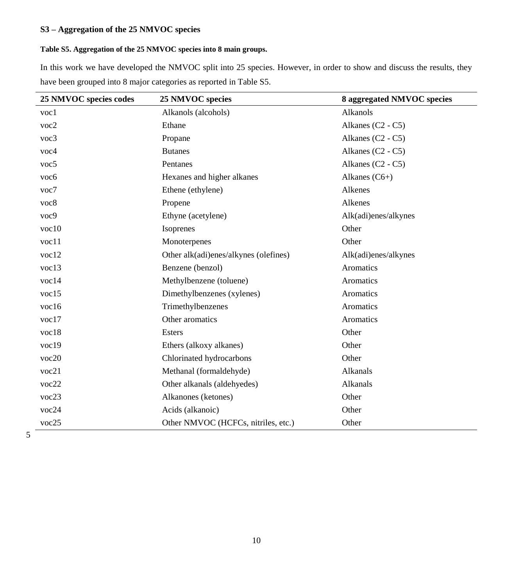### **S3 – Aggregation of the 25 NMVOC species**

### **Table S5. Aggregation of the 25 NMVOC species into 8 main groups.**

In this work we have developed the NMVOC split into 25 species. However, in order to show and discuss the results, they have been grouped into 8 major categories as reported in Table S5.

| 25 NMVOC species codes | 25 NMVOC species                      | 8 aggregated NMVOC species |
|------------------------|---------------------------------------|----------------------------|
| $\mathrm{voc}1$        | Alkanols (alcohols)                   | Alkanols                   |
| voc2                   | Ethane                                | Alkanes (C2 - C5)          |
| voc3                   | Propane                               | Alkanes $(C2 - C5)$        |
| voc4                   | <b>Butanes</b>                        | Alkanes $(C2 - C5)$        |
| voc <sub>5</sub>       | Pentanes                              | Alkanes $(C2 - C5)$        |
| voc <sub>6</sub>       | Hexanes and higher alkanes            | Alkanes $(C6+)$            |
| voc7                   | Ethene (ethylene)                     | Alkenes                    |
| voc8                   | Propene                               | Alkenes                    |
| voc9                   | Ethyne (acetylene)                    | Alk(adi)enes/alkynes       |
| voc10                  | Isoprenes                             | Other                      |
| voc11                  | Monoterpenes                          | Other                      |
| voc12                  | Other alk(adi)enes/alkynes (olefines) | Alk(adi)enes/alkynes       |
| voc13                  | Benzene (benzol)                      | Aromatics                  |
| voc14                  | Methylbenzene (toluene)               | Aromatics                  |
| voc15                  | Dimethylbenzenes (xylenes)            | Aromatics                  |
| voc16                  | Trimethylbenzenes                     | Aromatics                  |
| voc17                  | Other aromatics                       | Aromatics                  |
| voc18                  | Esters                                | Other                      |
| voc19                  | Ethers (alkoxy alkanes)               | Other                      |
| voc20                  | Chlorinated hydrocarbons              | Other                      |
| voc21                  | Methanal (formaldehyde)               | Alkanals                   |
| voc22                  | Other alkanals (aldehyedes)           | Alkanals                   |
| voc23                  | Alkanones (ketones)                   | Other                      |
| voc24                  | Acids (alkanoic)                      | Other                      |
| voc25                  | Other NMVOC (HCFCs, nitriles, etc.)   | Other                      |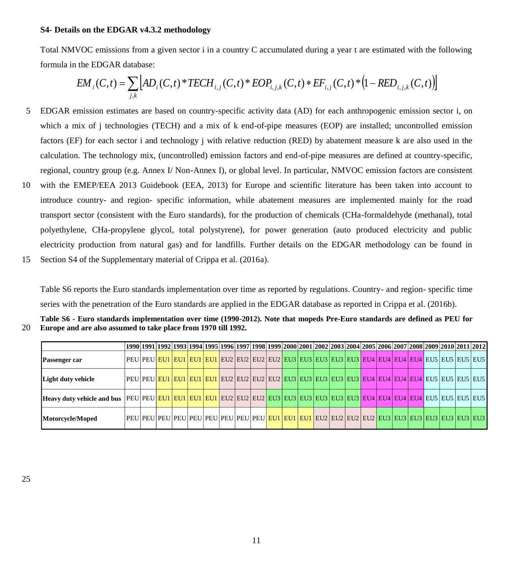#### **S4- Details on the EDGAR v4.3.2 methodology**

Total NMVOC emissions from a given sector i in a country C accumulated during a year t are estimated with the following formula in the EDGAR database:

$$
EM_{i}(C,t) = \sum_{j,k} \left[ AD_{i}(C,t) * TECH_{i,j}(C,t) * EOP_{i,j,k}(C,t) * EF_{i,j}(C,t) * (1 - RED_{i,j,k}(C,t)) \right]
$$

- 5 EDGAR emission estimates are based on country-specific activity data (AD) for each anthropogenic emission sector i, on which a mix of j technologies (TECH) and a mix of k end-of-pipe measures (EOP) are installed; uncontrolled emission factors (EF) for each sector i and technology j with relative reduction (RED) by abatement measure k are also used in the calculation. The technology mix, (uncontrolled) emission factors and end-of-pipe measures are defined at country-specific, regional, country group (e.g. Annex I/ Non-Annex I), or global level. In particular, NMVOC emission factors are consistent
- 10 with the EMEP/EEA 2013 Guidebook (EEA, 2013) for Europe and scientific literature has been taken into account to introduce country- and region- specific information, while abatement measures are implemented mainly for the road transport sector (consistent with the Euro standards), for the production of chemicals (CHa-formaldehyde (methanal), total polyethylene, CHa-propylene glycol, total polystyrene), for power generation (auto produced electricity and public electricity production from natural gas) and for landfills. Further details on the EDGAR methodology can be found in
- 15 Section S4 of the Supplementary material of Crippa et al. (2016a).

Table S6 reports the Euro standards implementation over time as reported by regulations. Country- and region- specific time series with the penetration of the Euro standards are applied in the EDGAR database as reported in Crippa et al. (2016b).

| Table S6 - Euro standards implementation over time (1990-2012). Note that mopeds Pre-Euro standards are defined as PEU for |
|----------------------------------------------------------------------------------------------------------------------------|
| 20 Europe and are also assumed to take place from 1970 till 1992.                                                          |

|                    |                                                                                                                               |  | 1990 1991 1992 1993 1994 1995 1996 1997 1998 1999 2000 2001 2002 2003 2004 2005 2006 2007 2008 2009 2010 2011 2012 |  |  |  |  |  |  |  |  |  |
|--------------------|-------------------------------------------------------------------------------------------------------------------------------|--|--------------------------------------------------------------------------------------------------------------------|--|--|--|--|--|--|--|--|--|
| Passenger car      |                                                                                                                               |  | PEU PEU  <mark>EU1 EU1 EU1 EU1 EU1 </mark> EU2 EU2 EU2 EU2 EU3 EU3 EU3 EU3 EU3 EU4 EU4 EU4 EU4 EU5 EU5 EU5 EU5     |  |  |  |  |  |  |  |  |  |
| Light duty vehicle | PEU PEU <mark> EUI EUI EUI EUI </mark> EU2 EU2 EU2 EU2  <mark>EU3 EU3 EU3 EU3 EU3 EU4 EU4 EU4 EU4 EU4 </mark> EU5 EU5 EU5 EU5 |  |                                                                                                                    |  |  |  |  |  |  |  |  |  |
|                    |                                                                                                                               |  |                                                                                                                    |  |  |  |  |  |  |  |  |  |
| Motorcycle/Moped   |                                                                                                                               |  |                                                                                                                    |  |  |  |  |  |  |  |  |  |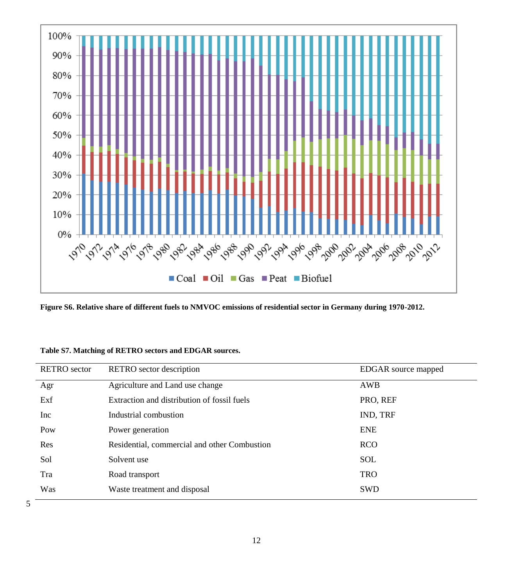

**Figure S6. Relative share of different fuels to NMVOC emissions of residential sector in Germany during 1970-2012.**

| <b>RETRO</b> sector | RETRO sector description                     | EDGAR source mapped |
|---------------------|----------------------------------------------|---------------------|
| Agr                 | Agriculture and Land use change              | AWB                 |
| Exf                 | Extraction and distribution of fossil fuels  | PRO, REF            |
| Inc                 | Industrial combustion                        | IND, TRF            |
| Pow                 | Power generation                             | <b>ENE</b>          |
| Res                 | Residential, commercial and other Combustion | <b>RCO</b>          |
| Sol                 | Solvent use                                  | <b>SOL</b>          |
| Tra                 | Road transport                               | <b>TRO</b>          |
| Was                 | Waste treatment and disposal                 | <b>SWD</b>          |

| Table S7. Matching of RETRO sectors and EDGAR sources. |  |  |
|--------------------------------------------------------|--|--|
|--------------------------------------------------------|--|--|